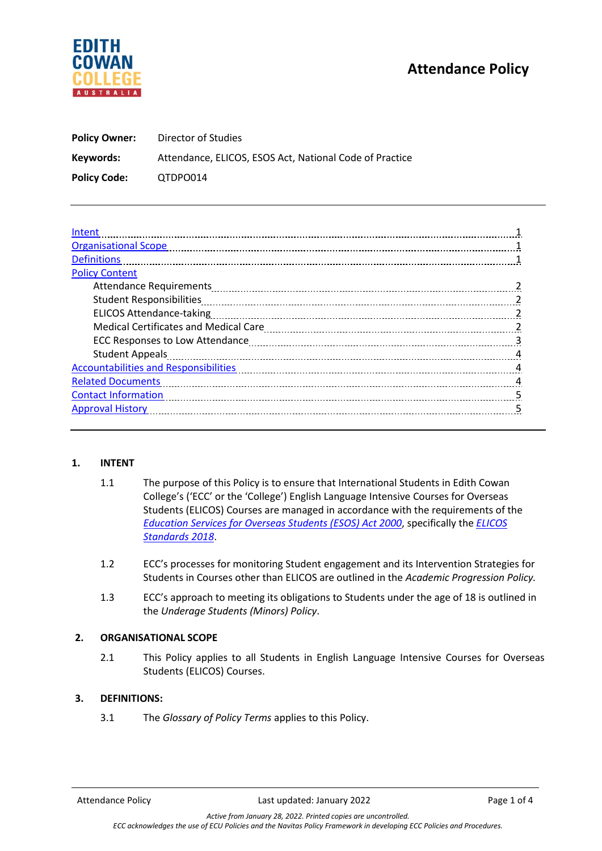# **Attendance Policy**



| <b>Policy Owner:</b> | Director of Studies                                     |  |
|----------------------|---------------------------------------------------------|--|
| Keywords:            | Attendance, ELICOS, ESOS Act, National Code of Practice |  |
| <b>Policy Code:</b>  | QTDPO014                                                |  |

| Intent                                                                                                                                                                                                                         |   |  |
|--------------------------------------------------------------------------------------------------------------------------------------------------------------------------------------------------------------------------------|---|--|
| <b>Organisational Scope</b>                                                                                                                                                                                                    |   |  |
| <b>Definitions</b>                                                                                                                                                                                                             |   |  |
| <b>Policy Content</b>                                                                                                                                                                                                          |   |  |
|                                                                                                                                                                                                                                |   |  |
|                                                                                                                                                                                                                                |   |  |
| <b>ELICOS Attendance-taking</b>                                                                                                                                                                                                |   |  |
|                                                                                                                                                                                                                                |   |  |
|                                                                                                                                                                                                                                | 3 |  |
| Student Appeals [111] Appeals [11] Appeals [11] Appeals [11] Appeals [11] Appeals [11] Appeals [11] Appeals [11] Appeals [11] Appeals [11] Appeals [11] Appeals [11] Appeals [11] Appeals [11] Appeals [11] Appeals [11] Appea | 4 |  |
| <b>Accountabilities and Responsibilities</b>                                                                                                                                                                                   | 4 |  |
| <b>Related Documents</b>                                                                                                                                                                                                       |   |  |
| <b>Contact Information</b>                                                                                                                                                                                                     |   |  |
| <b>Approval History</b>                                                                                                                                                                                                        |   |  |
|                                                                                                                                                                                                                                |   |  |

### **1. INTENT**

- 1.1 The purpose of this Policy is to ensure that International Students in Edith Cowan College's ('ECC' or the 'College') English Language Intensive Courses for Overseas Students (ELICOS) Courses are managed in accordance with the requirements of the *[Education Services for Overseas Students \(ESOS\) Act 2000](https://www.dese.gov.au/esos-framework/esos-legislative-framework)*, specifically the *ELICOS Standards 2018*.
- 1.2 ECC's processes for monitoring Student engagement and its Intervention Strategies for Students in Courses other than ELICOS are outlined in the *Academic Progression Policy.*
- 1.3 ECC's approach to meeting its obligations to Students under the age of 18 is outlined in the *Underage Students (Minors) Policy*.

### **2. ORGANISATIONAL SCOPE**

2.1 This Policy applies to all Students in English Language Intensive Courses for Overseas Students (ELICOS) Courses.

#### **3. DEFINITIONS:**

3.1 The *Glossary of Policy Terms* applies to this Policy.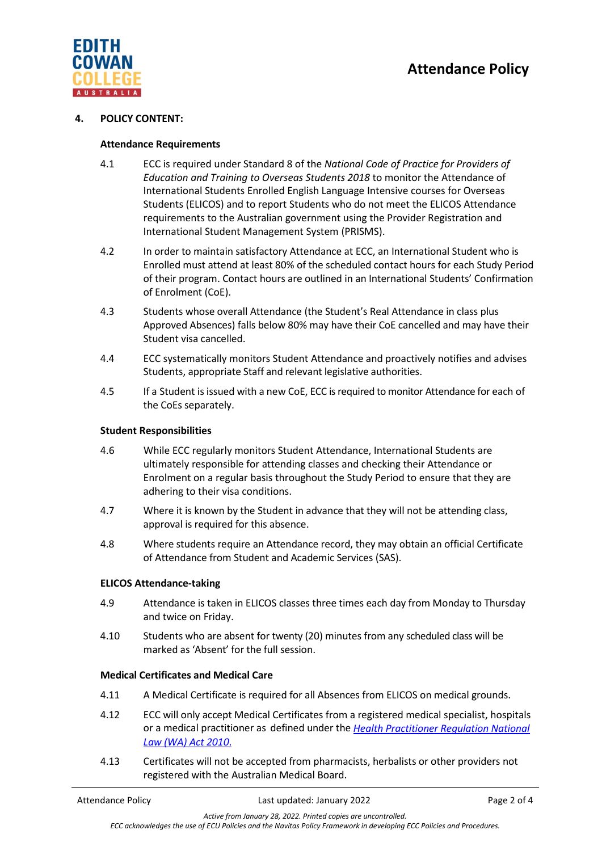

#### **4. POLICY CONTENT:**

#### **Attendance Requirements**

- 4.1 ECC is required under Standard 8 of the *National Code of Practice for Providers of Education and Training to Overseas Students 2018* to monitor the Attendance of International Students Enrolled English Language Intensive courses for Overseas Students (ELICOS) and to report Students who do not meet the ELICOS Attendance requirements to the Australian government using the Provider Registration and International Student Management System (PRISMS).
- 4.2 In order to maintain satisfactory Attendance at ECC, an International Student who is Enrolled must attend at least 80% of the scheduled contact hours for each Study Period of their program. Contact hours are outlined in an International Students' Confirmation of Enrolment (CoE).
- 4.3 Students whose overall Attendance (the Student's Real Attendance in class plus Approved Absences) falls below 80% may have their CoE cancelled and may have their Student visa cancelled.
- 4.4 ECC systematically monitors Student Attendance and proactively notifies and advises Students, appropriate Staff and relevant legislative authorities.
- 4.5 If a Student is issued with a new CoE, ECC is required to monitor Attendance for each of the CoEs separately.

#### **Student Responsibilities**

- 4.6 While ECC regularly monitors Student Attendance, International Students are ultimately responsible for attending classes and checking their Attendance or Enrolment on a regular basis throughout the Study Period to ensure that they are adhering to their visa conditions.
- 4.7 Where it is known by the Student in advance that they will not be attending class, approval is required for this absence.
- 4.8 Where students require an Attendance record, they may obtain an official Certificate of Attendance from Student and Academic Services (SAS).

#### **ELICOS Attendance-taking**

- 4.9 Attendance is taken in ELICOS classes three times each day from Monday to Thursday and twice on Friday.
- 4.10 Students who are absent for twenty (20) minutes from any scheduled class will be marked as 'Absent' for the full session.

#### **Medical Certificates and Medical Care**

- 4.11 A Medical Certificate is required for all Absences from ELICOS on medical grounds.
- 4.12 ECC will only accept Medical Certificates from a registered medical specialist, hospitals or a medical practitioner as defined under the *Health [Practitioner Regulation](https://www.legislation.wa.gov.au/legislation/statutes.nsf/main_mrtitle_12107_homepage.html) National [Law \(WA\) Act](https://www.legislation.wa.gov.au/legislation/statutes.nsf/main_mrtitle_12107_homepage.html) 2010*.
- 4.13 Certificates will not be accepted from pharmacists, herbalists or other providers not registered with the Australian Medical Board.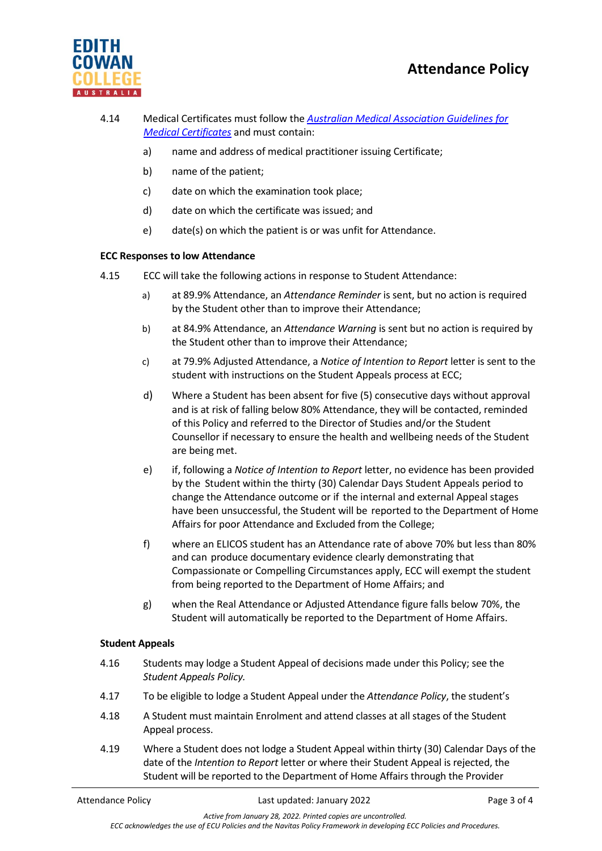

- 4.14 Medical Certificates must follow the *[Australian Medical Association Guidelines](https://www.ama.com.au/position-statement/ama-guidelines-medical-certificates-2011-revised-2016) for Medical [Certificates](https://www.ama.com.au/position-statement/ama-guidelines-medical-certificates-2011-revised-2016)* and must contain:
	- a) name and address of medical practitioner issuing Certificate;
	- b) name of the patient;
	- c) date on which the examination took place;
	- d) date on which the certificate was issued; and
	- e) date(s) on which the patient is or was unfit for Attendance.

## **ECC Responses to low Attendance**

- 4.15 ECC will take the following actions in response to Student Attendance:
	- a) at 89.9% Attendance, an *Attendance Reminder* is sent, but no action is required by the Student other than to improve their Attendance;
	- b) at 84.9% Attendance, an *Attendance Warning* is sent but no action is required by the Student other than to improve their Attendance;
	- c) at 79.9% Adjusted Attendance, a *Notice of Intention to Report* letter is sent to the student with instructions on the Student Appeals process at ECC;
	- d) Where a Student has been absent for five (5) consecutive days without approval and is at risk of falling below 80% Attendance, they will be contacted, reminded of this Policy and referred to the Director of Studies and/or the Student Counsellor if necessary to ensure the health and wellbeing needs of the Student are being met.
	- e) if, following a *Notice of Intention to Report* letter, no evidence has been provided by the Student within the thirty (30) Calendar Days Student Appeals period to change the Attendance outcome or if the internal and external Appeal stages have been unsuccessful, the Student will be reported to the Department of Home Affairs for poor Attendance and Excluded from the College;
	- f) where an ELICOS student has an Attendance rate of above 70% but less than 80% and can produce documentary evidence clearly demonstrating that Compassionate or Compelling Circumstances apply, ECC will exempt the student from being reported to the Department of Home Affairs; and
	- g) when the Real Attendance or Adjusted Attendance figure falls below 70%, the Student will automatically be reported to the Department of Home Affairs.

## **Student Appeals**

- 4.16 Students may lodge a Student Appeal of decisions made under this Policy; see the *Student Appeals Policy.*
- 4.17 To be eligible to lodge a Student Appeal under the *Attendance Policy*, the student's
- 4.18 A Student must maintain Enrolment and attend classes at all stages of the Student Appeal process.
- 4.19 Where a Student does not lodge a Student Appeal within thirty (30) Calendar Days of the date of the *Intention to Report* letter or where their Student Appeal is rejected, the Student will be reported to the Department of Home Affairs through the Provider